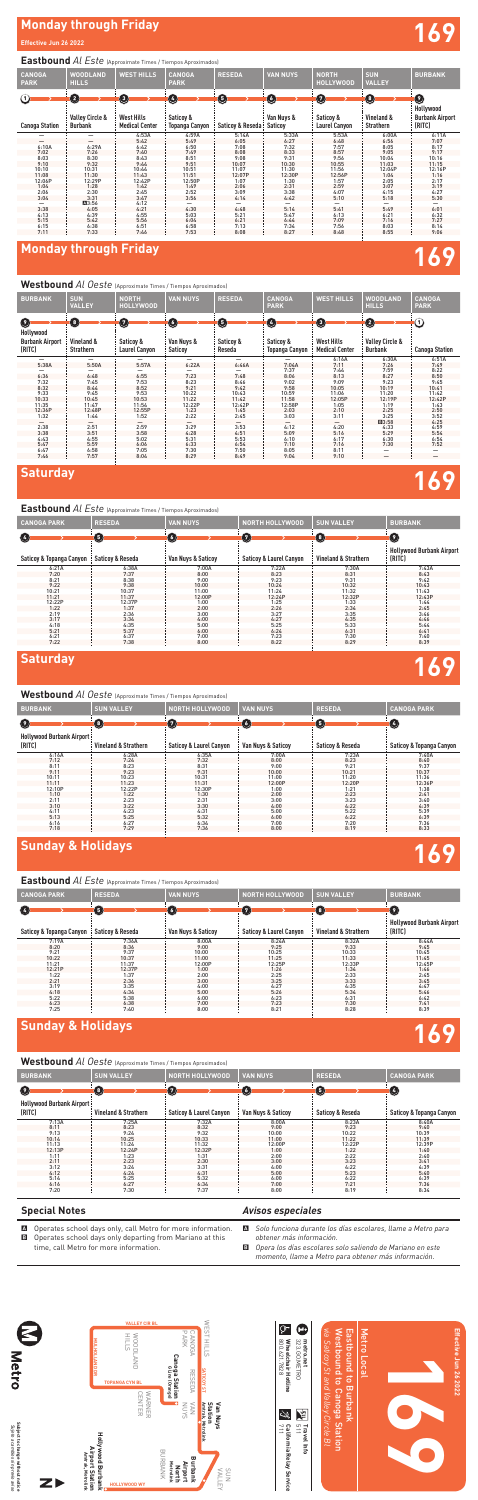

# **Monday through Friday 169**

Westbound *Al Oeste* (Approximate Times / Tiempos Aproximados)

## **Monday through Friday**

### **Effective Jun 26 2022**

# **Saturday 169**

# **Saturday 169**

Westbound *Al Oeste* (Approximate Times / Tiempos Aproximados)

# **Sunday & Holidays 169**

### *Avisos especiales*

- A *Solo funciona durante los días escolares, llame a Metro para obtener más información.*
- B *Opera los días escolares solo saliendo de Mariano en este momento, llame a Metro para obtener más información.*

### **Special Notes**

- A Operates school days only, call Metro for more information.
- B Operates school days only departing from Mariano at this time, call Metro for more information.

## **Eastbound** *Al Este* (Approximate Times / Tiempos Aproximados)

**Eastbound** *Al Este* (Approximate Times / Tiempos Aproximados)

| <b>CANOGA</b><br><b>PARK</b>         | WOODLAND<br><b>HILLS</b>                          | <b>WEST HILLS</b>                               | <b>CANOGA</b><br><b>PARK</b>            | <b>RESEDA</b>         | <b>VAN NUYS</b>             | NORTH<br><b>HOLLYWOOD</b>                       | <b>SUN</b><br><b>VALLEY</b>                 | <b>BURBANK</b>                                                             |
|--------------------------------------|---------------------------------------------------|-------------------------------------------------|-----------------------------------------|-----------------------|-----------------------------|-------------------------------------------------|---------------------------------------------|----------------------------------------------------------------------------|
| $\rm \odot$<br><b>Canoga Station</b> | 0<br><b>Valley Circle &amp;</b><br><b>Burbank</b> | O<br><b>West Hills</b><br><b>Medical Center</b> | $\bf(4)$<br>Saticoy &<br>Topanga Canyon | O<br>Saticoy & Reseda | O)<br>Van Nuys &<br>Saticoy | $\sqrt{7}$<br>Saticoy &<br><b>Laurel Canyon</b> | $\bullet$<br>Vineland &<br><b>Strathern</b> | $\left( \, \cdot \right)$<br>Hollywood<br><b>Burbank Airport</b><br>(RITC) |
|                                      | —                                                 | 4:53A                                           | 4:59A                                   | 5:14A                 | 5:33A                       | 5:53A                                           | 6:00A                                       | 6:11A                                                                      |
| —                                    | —                                                 | 5:42                                            | 5:49                                    | 6:05                  | 6:27                        | 6:48                                            | 6:56                                        | 7:07                                                                       |
| 6:10A                                | 6:29A                                             | 6:42                                            | 6:50                                    | 7:08                  | 7:32                        | 7:57                                            | 8:05                                        | 8:17                                                                       |
| 7:02                                 | 7:26                                              | 7:40                                            | 7:49                                    | 8:08                  | 8:33                        | 8:57                                            | 9:05                                        | 9:17                                                                       |
| 8:03                                 | 8:30                                              | 8:43                                            | 8:51                                    | 9:08                  | 9:31                        | 9:56                                            | 10:04                                       | 10:16                                                                      |
| 9:10                                 | 9:32                                              | 9:44                                            | 9:51                                    | 10:07                 | 10:30                       | 10:55                                           | 11:03                                       | 11:15                                                                      |
| 10:10                                | 10:31                                             | 10:44                                           | 10:51                                   | 11:07                 | 11:30                       | 11:56                                           | 12:04P                                      | 12:16P                                                                     |
| 11:08                                | 11:30                                             | 11:43                                           | 11:51                                   | 12:07P                | 12:30P                      | 12:56P                                          | 1:04                                        | 1:16                                                                       |
| 12:06P<br>1:04                       | 12:29P<br>1:28                                    | 12:42P<br>1:42                                  | 12:50P<br>1:49                          | 1:07                  | 1:30                        | 1:57<br>2:59                                    | 2:05<br>3:07                                | 2:17<br>3:19                                                               |
| 2:06                                 | 2:30                                              | 2:45                                            | 2:52                                    | 2:06<br>3:09          | 2:31<br>3:38                | 4:07                                            | 4:15                                        | 4:27                                                                       |
| 3:04                                 | 3:31                                              | 3:47                                            | 3:56                                    | 4:14                  | 4:42                        | 5:10                                            | 5:18                                        | 5:30                                                                       |
|                                      | A3:56                                             | 4:12                                            |                                         |                       |                             |                                                 |                                             |                                                                            |
| 3:38                                 | 4:05                                              | 4:21                                            | 4:30                                    | 4:48                  | 5:14                        | 5:41                                            | 5:49                                        | 6:01                                                                       |
| 4:13                                 | 4:39                                              | 4:55                                            | 5:03                                    | 5:21                  | 5:47                        | 6:13                                            | 6:21                                        | 6:32                                                                       |
| 5:15                                 | 5:42                                              | 5:56                                            | 6:04                                    | 6:21                  | 6:44                        | 7:09                                            | 7:16                                        | 7:27                                                                       |
| 6:15                                 | 6:38                                              | 6:51                                            | 6:58                                    | 7:13                  | 7:34                        | 7:56                                            | 8:03                                        | 8:14                                                                       |
| 7:11                                 | 7:33                                              | 7:46                                            | 7:53                                    | 8:08                  | 8:27                        | 8:48                                            | 8:55                                        | 9:06                                                                       |
|                                      |                                                   |                                                 |                                         |                       |                             |                                                 |                                             |                                                                            |

| <b>BURBANK</b>                                                     | <b>SUN</b><br><b>VALLEY</b>                 | <b>NORTH</b><br>HOLLYWOOD                       | <b>VAN NUYS</b>            | <b>RESEDA</b>            | <b>CANOGA</b><br><b>PARK</b>     | <b>WEST HILLS</b>                        | <b>WOODLAND</b><br><b>HILLS</b>                           | <b>CANOGA</b><br><b>PARK</b> |
|--------------------------------------------------------------------|---------------------------------------------|-------------------------------------------------|----------------------------|--------------------------|----------------------------------|------------------------------------------|-----------------------------------------------------------|------------------------------|
| $\left( 9\right)$<br>Hollywood<br><b>Burbank Airport</b><br>(RITC) | $\bullet$<br>Vineland &<br><b>Strathern</b> | $\sqrt{7}$<br>Saticoy &<br><b>Laurel Canyon</b> | O<br>Van Nuys &<br>Saticoy | Θ<br>Saticov &<br>Reseda | 0<br>Saticov &<br>Topanga Canyon | 0<br>West Hills<br><b>Medical Center</b> | $\bullet$<br><b>Valley Circle &amp;</b><br><b>Burbank</b> | ➀<br><b>Canoga Station</b>   |
|                                                                    | $\overline{\phantom{0}}$                    |                                                 |                            | $\overline{\phantom{0}}$ |                                  | 6:16A                                    | 6:30A                                                     | 6:51A                        |
| 5:38A                                                              | 5:50A                                       | 5:57A                                           | 6:22A                      | 6:46A                    | 7:04A                            | 7:11                                     | 7:26                                                      | 7:49                         |
|                                                                    |                                             |                                                 |                            |                          | 7:37                             | 7:44                                     | 7:59                                                      | 8:22                         |
| 6:36                                                               | 6:48                                        | 6:55                                            | 7:23                       | 7:48                     | 8:06                             | 8:13                                     | 8:27                                                      | 8:50                         |
| 7:32                                                               | 7:45                                        | 7:53                                            | 8:23                       | 8:46                     | 9:02                             | 9:09                                     | 9:23                                                      | 9:45                         |
| 8:32                                                               | 8:44                                        | 8:52                                            | 9:21                       | 9:42                     | 9:58                             | 10:05                                    | 10:19                                                     | 10:41                        |
| 9:33                                                               | 9:45                                        | 9:53                                            | 10:22                      | 10:43                    | 10:59                            | 11:06                                    | 11:20                                                     | 11:42                        |
| 10:33                                                              | 10:45                                       | 10:53                                           | 11:22                      | 11:42                    | 11:58                            | 12:05P                                   | 12:19P                                                    | 12:42P                       |
| 11:35                                                              | 11:47                                       | 11:54                                           | 12:22P                     | 12:42P                   | 12:58P                           | 1:05                                     | 1:19                                                      | 1:43                         |
| 12:36P                                                             | 12:48P                                      | 12:55P                                          | 1:23                       | 1:45                     | 2:03                             | 2:10                                     | 2:25                                                      | 2:50                         |
| 1:32                                                               | 1:44                                        | 1:52                                            | 2:22                       | 2:45                     | 3:03                             | 3:11                                     | 3:25                                                      | 3:52                         |
|                                                                    | —                                           |                                                 |                            |                          |                                  |                                          | ■3:58                                                     | 4:25                         |
| 2:38                                                               | 2:51                                        | 2:59                                            | 3:29                       | 3:53                     | 4:12                             | 4:20                                     | 4:33                                                      | 4:59                         |
| 3:38                                                               | 3:51                                        | 3:58                                            | 4:28                       | 4:51                     | 5:09                             | 5:16                                     | 5:29                                                      | 5:54                         |
| 4:43                                                               | 4:55                                        | 5:02                                            | 5:31                       | 5:53                     | 6:10                             | 6:17                                     | 6:30                                                      | 6:54                         |
| 5:47                                                               | 5:59                                        | 6:06                                            | 6:33                       | 6:54                     | 7:10                             | 7:16                                     | 7:30                                                      | 7:52                         |
| 6:47                                                               | 6:58                                        | 7:05                                            | 7:30                       | 7:50                     | 8:05                             | 8:11                                     |                                                           |                              |
| 7:46                                                               | 7:57                                        | 8:04                                            | 8:29                       | 8:49                     | 9:04                             | 9:10                                     |                                                           |                              |

| <b>CANOGA PARK</b>       | <b>RESEDA</b>    | <b>VAN NUYS</b>               | <b>NORTH HOLLYWOOD</b>             | <b>SUN VALLEY</b>    | <b>BURBANK</b>                             |
|--------------------------|------------------|-------------------------------|------------------------------------|----------------------|--------------------------------------------|
| Ø                        | 6                | $\sqrt{6}$                    | $\sqrt{7}$                         | $\sqrt{8}$           | $\left( 2\right)$                          |
| Saticoy & Topanga Canyon | Saticoy & Reseda | <b>Van Nuys &amp; Saticoy</b> | <b>Saticoy &amp; Laurel Canyon</b> | Vineland & Strathern | <b>Hollywood Burbank Airport</b><br>(RITC) |
| 6:21A                    | 6:38A            | 7:00A                         | 7:22A                              | 7:30A                | 7:43A                                      |
| 7:20                     | 7:37             | 8:00                          | 8:23                               | 8:31                 | 8:43                                       |
| 8:21                     | 8:38             | 9:00                          | 9:23                               | 9:31                 | 9:42                                       |
| 9:22                     | 9:38             | 10:00                         | 10:24                              | 10:32                | 10:43                                      |
| 10:21                    | 10:37            | 11:00                         | 11:24                              | 11:32                | 11:43                                      |
| 11:21                    | 11:37            | 12:00P                        | 12:24P                             | 12:32P               | 12:43P                                     |
| 12:22P                   | 12:37P           | 1:00                          | 1:25                               | 1:33                 | 1:44                                       |
| 1:22                     | 1:37             | 2:00                          | 2:26                               | 2:34                 | 2:45                                       |
| 2:19                     | 2:36             | 3:00                          | 3:27                               | 3:35                 | 3:46                                       |
| 3:17                     | 3:34             | 4:00                          | 4:27                               | 4:35                 | 4:46                                       |
| 4:18                     | 4:35             | 5:00                          | 5:25                               | 5:33                 | 5:44                                       |
| 5:21                     | 5:37             | 6:00                          | 6:24                               | 6:31                 | 6:41                                       |
| 6:21                     | 6:37             | 7:00                          | 7:23                               | 7:30                 | 7:40                                       |
| 7:22                     | 7:38             | 8:00                          | 8:22                               | 8:29                 | 8:39                                       |

### **Eastbound** *Al Este* (Approximate Times / Tiempos Aproximados)

| $\cdots$ . The same $\cdots$ is the same $\cdots$ in the commuted in the state $\cdots$ is a set of $\cdots$ |                                                 |                                    |                    |                             |                                     |  |  |  |
|--------------------------------------------------------------------------------------------------------------|-------------------------------------------------|------------------------------------|--------------------|-----------------------------|-------------------------------------|--|--|--|
| <b>BURBANK</b>                                                                                               | <b>SUN VALLEY</b>                               | <b>NORTH HOLLYWOOD</b>             | <b>VAN NUYS</b>    | <b>RESEDA</b>               | <b>CANOGA PARK</b>                  |  |  |  |
| Ø                                                                                                            | $\left( \begin{array}{c} 3 \end{array} \right)$ | $\overline{a}$                     | O                  | $\sqrt{5}$                  | $\left  \right $                    |  |  |  |
| <b>Hollywood Burbank Airport:</b><br>(RITC)                                                                  | <b>Vineland &amp; Strathern</b>                 | <b>Saticoy &amp; Laurel Canyon</b> | Van Nuys & Saticoy | <b>Saticoy &amp; Reseda</b> | <b>Saticoy &amp; Topanga Canyon</b> |  |  |  |
| 6:16A                                                                                                        | 6:28A                                           | 6:35A                              | 7:00A              | 7:23A                       | 7:40A                               |  |  |  |
| 7:12                                                                                                         | 7:24                                            | 7:32                               | 8:00               | 8:23                        | 8:40                                |  |  |  |
| 8:11                                                                                                         | 8:23                                            | 8:31                               | 9:00               | 9:21                        | 9:37                                |  |  |  |
| 9:11                                                                                                         | 9:23                                            | 9:31                               | 10:00              | 10:21                       | 10:37                               |  |  |  |
| 10:11                                                                                                        | 10:23                                           | 10:31                              | 11:00              | 11:20                       | 11:36                               |  |  |  |
| 11:11                                                                                                        | 11:23                                           | 11:31                              | 12:00P             | 12:20P                      | 12:36P                              |  |  |  |
| 12:10P                                                                                                       | 12:22P                                          | 12:30P                             | 1:00               | 1:21                        | 1:38                                |  |  |  |
| 1:10                                                                                                         | 1:22                                            | 1:30                               | 2:00               | 2:23                        | 2:41                                |  |  |  |
| 2:11                                                                                                         | 2:23                                            | 2:31                               | 3:00               | 3:23                        | 3:40                                |  |  |  |
| 3:10                                                                                                         | 3:22                                            | 3:30                               | 4:00               | 4:22                        | 4:39                                |  |  |  |
| 4:11                                                                                                         | 4:23                                            | 4:31                               | 5:00               | 5:22                        | 5:39                                |  |  |  |
| 5:13                                                                                                         | 5:25                                            | 5:32                               | 6:00               | 6:22                        | 6:39                                |  |  |  |
| 6:16                                                                                                         | 6:27                                            | 6:34                               | 7:00               | 7:20                        | 7:36                                |  |  |  |
| 7:18                                                                                                         | 7:29                                            | 7:36                               | 8:00               | 8:19                        | 8:33                                |  |  |  |
|                                                                                                              |                                                 |                                    |                    |                             |                                     |  |  |  |

# **Sunday & Holidays 169**



### **Westbound** *Al Oeste* (Approximate Times / Tiempos Aproximados)

| <b>CANOGA PARK</b>       | <b>RESEDA</b>               | <b>VAN NUYS</b>                   | <b>NORTH HOLLYWOOD</b>             | <b>SUN VALLEY</b>               | <b>BURBANK</b>                             |
|--------------------------|-----------------------------|-----------------------------------|------------------------------------|---------------------------------|--------------------------------------------|
| $\left( 4\right)$        | ( 5)                        | $\begin{pmatrix} 6 \end{pmatrix}$ | $\sqrt{7}$                         | $^{8}$                          | $\overline{\mathbf{2}}$                    |
| Saticoy & Topanga Canyon | <b>Saticoy &amp; Reseda</b> | Van Nuys & Saticoy                | <b>Saticoy &amp; Laurel Canyon</b> | <b>Vineland &amp; Strathern</b> | <b>Hollywood Burbank Airport</b><br>(RITC) |
| 7:19A                    | 7:36A                       | 8:00A                             | 8:24A                              | 8:32A                           | 8:44A                                      |
| 8:20                     | 8:36                        | 9:00                              | 9:25                               | 9:33                            | 9:45                                       |
| 9:21                     | 9:37                        | 10:00                             | 10:25                              | 10:33                           | 10:45                                      |
| 10:22                    | 10:37                       | 11:00                             | 11:25                              | 11:33                           | 11:45                                      |
| 11:21                    | 11:37                       | 12:00P                            | 12:25P                             | 12:33P                          | 12:45P                                     |
| 12:21P                   | 12:37P                      | 1:00                              | 1:26                               | 1:34                            | 1:46                                       |
| 1:22                     | 1:37                        | 2:00                              | 2:25                               | 2:33                            | 2:45                                       |
| 2:21                     | 2:36                        | 3:00                              | 3:25                               | 3:33                            | 3:45                                       |
| 3:19                     | 3:35                        | 4:00                              | 4:27                               | 4:35                            | 4:47                                       |
| 4:18                     | 4:34                        | 5:00                              | 5:26                               | 5:34                            | 5:46                                       |
| 5:22                     | 5:38                        | 6:00                              | 6:23                               | 6:31                            | 6:42                                       |
| 6:23                     | 6:38                        | 7:00                              | 7:23                               | 7:30                            | 7:41                                       |
| 7:25                     | 7:40                        | 8:00                              | 8:21                               | 8:28                            | 8:39                                       |

| <b>BURBANK</b>                              | <b>SUN VALLEY</b>               | <b>NORTH HOLLYWOOD</b>             | <b>VAN NUYS</b>    | <b>RESEDA</b>               | <b>CANOGA PARK</b>                  |
|---------------------------------------------|---------------------------------|------------------------------------|--------------------|-----------------------------|-------------------------------------|
| $\bullet$                                   | $\sqrt{3}$                      | 7                                  | $\sqrt{6}$         | <b>5</b>                    | A                                   |
| <b>Hollywood Burbank Airport:</b><br>(RITC) | <b>Vineland &amp; Strathern</b> | <b>Saticoy &amp; Laurel Canyon</b> | Van Nuys & Saticoy | <b>Saticoy &amp; Reseda</b> | <b>Saticoy &amp; Topanga Canyon</b> |
| 7:13A                                       | 7:25A                           | 7:32A                              | 8:00A              | 8:23A                       | 8:40A                               |
| 8:11                                        | 8:23                            | 8:32                               | 9:00               | 9:23                        | 9:40                                |
| 9:13                                        | 9:24                            | 9:32                               | 10:00              | 10:22                       | 10:39                               |
| 10:14                                       | 10:25                           | 10:33                              | 11:00              | 11:22                       | 11:39                               |
| 11:13                                       | 11:24                           | 11:32                              | 12:00P             | 12:22P                      | 12:39P                              |
| 12:13P                                      | 12:24P                          | 12:32P                             | 1:00               | 1:22                        | 1:40                                |
| 1:11                                        | 1:23                            | 1:31                               | 2:00               | 2:22                        | 2:40                                |
| 2:11                                        | 2:23                            | 2:30                               | 3:00               | 3:23                        | 3:41                                |
| 3:12                                        | 3:24                            | 3:31                               | 4:00               | 4:22                        | 4:39                                |
| 4:12                                        | 4:24                            | 4:31                               | 5:00               | 5:23                        | 5:40                                |
| 5:14                                        | 5:25                            | 5:32                               | 6:00               | 6:22                        | 6:39                                |
| 6:16                                        | 6:27                            | 6:34                               | 7:00               | 7:21                        | 7:36                                |
| 7:20                                        | 7:30                            | 7:37                               | 8:00               | 8:19                        | 8:34                                |